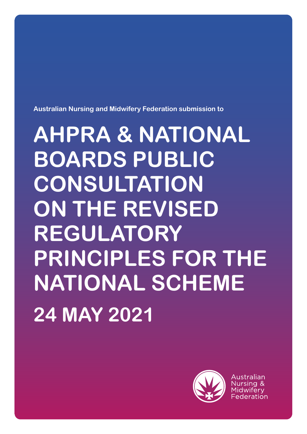**Australian Nursing and Midwifery Federation submission to** 

# **AHPRA & NATIONAL BOARDS PUBLIC CONSULTATION ON THE REVISED REGULATORY PRINCIPLES FOR THE NATIONAL SCHEME 24 MAY 2021**



Australian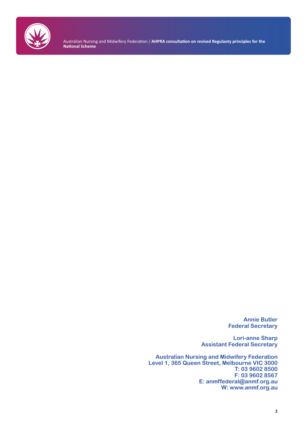

Australian Nursing and Midwifery Federation / **AHPRA consultation on revised Regulaoty principles for the National Scheme**

> **Annie Butler Federal Secretary**

**Lori-anne Sharp Assistant Federal Secretary**

**Australian Nursing and Midwifery Federation Level 1, 365 Queen Street, Melbourne VIC 3000 T: 03 9602 8500 F: 03 9602 8567 E: anmffederal@anmf.org.au W: www.anmf.org.au**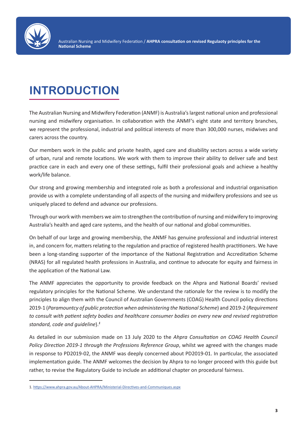

# **INTRODUCTION**

The Australian Nursing and Midwifery Federation (ANMF) is Australia's largest national union and professional nursing and midwifery organisation. In collaboration with the ANMF's eight state and territory branches, we represent the professional, industrial and political interests of more than 300,000 nurses, midwives and carers across the country.

Our members work in the public and private health, aged care and disability sectors across a wide variety of urban, rural and remote locations. We work with them to improve their ability to deliver safe and best practice care in each and every one of these settings, fulfil their professional goals and achieve a healthy work/life balance.

Our strong and growing membership and integrated role as both a professional and industrial organisation provide us with a complete understanding of all aspects of the nursing and midwifery professions and see us uniquely placed to defend and advance our professions.

Through our work with members we aim to strengthen the contribution of nursing and midwifery to improving Australia's health and aged care systems, and the health of our national and global communities.

On behalf of our large and growing membership, the ANMF has genuine professional and industrial interest in, and concern for, matters relating to the regulation and practice of registered health practitioners. We have been a long-standing supporter of the importance of the National Registration and Accreditation Scheme (NRAS) for all regulated health professions in Australia, and continue to advocate for equity and fairness in the application of the National Law.

The ANMF appreciates the opportunity to provide feedback on the Ahpra and National Boards' revised regulatory principles for the National Scheme. We understand the rationale for the review is to modify the principles to align them with the Council of Australian Governments (COAG) Health Council policy directions 2019-1 (*Paramountcy of public protection when administering the National Scheme*) and 2019-2 (*Requirement to consult with patient safety bodies and healthcare consumer bodies on every new and revised registration standard, code and guideline*).*<sup>1</sup>*

As detailed in our submission made on 13 July 2020 to the *Ahpra Consultation on COAG Health Council Policy Direction 2019-1 through the Professions Reference Group*, whilst we agreed with the changes made in response to PD2019-02, the ANMF was deeply concerned about PD2019-01. In particular, the associated implementation guide. The ANMF welcomes the decision by Ahpra to no longer proceed with this guide but rather, to revise the Regulatory Guide to include an additional chapter on procedural fairness.

<sup>1.</sup> https://www.ahpra.gov.au/About-AHPRA/Ministerial-Directives-and-Communiques.aspx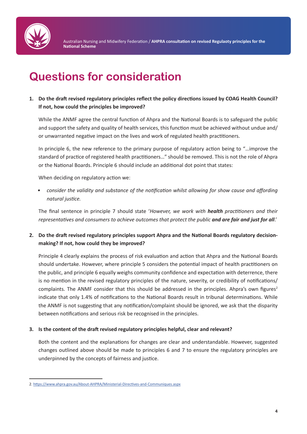

### **Questions for consideration**

**1. Do the draft revised regulatory principles reflect the policy directions issued by COAG Health Council? If not, how could the principles be improved?**

While the ANMF agree the central function of Ahpra and the National Boards is to safeguard the public and support the safety and quality of health services, this function must be achieved without undue and/ or unwarranted negative impact on the lives and work of regulated health practitioners.

In principle 6, the new reference to the primary purpose of regulatory action being to "…improve the standard of practice of registered health practitioners…" should be removed. This is not the role of Ahpra or the National Boards. Principle 6 should include an additional dot point that states:

When deciding on regulatory action we:

*• consider the validity and substance of the notification whilst allowing for show cause and affording natural justice.*

The final sentence in principle 7 should state '*However, we work with health practitioners and their representatives and consumers to achieve outcomes that protect the public and are fair and just for all*.'

**2. Do the draft revised regulatory principles support Ahpra and the National Boards regulatory decisionmaking? If not, how could they be improved?**

Principle 4 clearly explains the process of risk evaluation and action that Ahpra and the National Boards should undertake. However, where principle 5 considers the potential impact of health practitioners on the public, and principle 6 equally weighs community confidence and expectation with deterrence, there is no mention in the revised regulatory principles of the nature, severity, or credibility of notifications/ complaints. The ANMF consider that this should be addressed in the principles. Ahpra's own figures<sup>2</sup> indicate that only 1.4% of notifications to the National Boards result in tribunal determinations. While the ANMF is not suggesting that any notification/complaint should be ignored, we ask that the disparity between notifications and serious risk be recognised in the principles.

#### **3. Is the content of the draft revised regulatory principles helpful, clear and relevant?**

Both the content and the explanations for changes are clear and understandable. However, suggested changes outlined above should be made to principles 6 and 7 to ensure the regulatory principles are underpinned by the concepts of fairness and justice.

<sup>2</sup>. https://www.ahpra.gov.au/About-AHPRA/Ministerial-Directives-and-Communiques.aspx